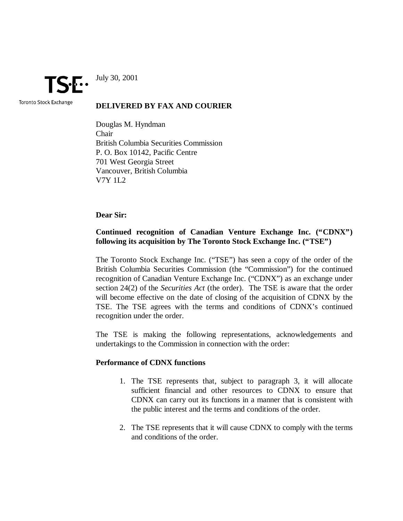TSE:

July 30, 2001

Toronto Stock Exchange

### **DELIVERED BY FAX AND COURIER**

Douglas M. Hyndman Chair British Columbia Securities Commission P. O. Box 10142, Pacific Centre 701 West Georgia Street Vancouver, British Columbia V7Y 1L2

**Dear Sir:**

# **Continued recognition of Canadian Venture Exchange Inc. ("CDNX") following its acquisition by The Toronto Stock Exchange Inc. ("TSE")**

The Toronto Stock Exchange Inc. ("TSE") has seen a copy of the order of the British Columbia Securities Commission (the "Commission") for the continued recognition of Canadian Venture Exchange Inc. ("CDNX") as an exchange under section 24(2) of the *Securities Act* (the order). The TSE is aware that the order will become effective on the date of closing of the acquisition of CDNX by the TSE. The TSE agrees with the terms and conditions of CDNX's continued recognition under the order.

The TSE is making the following representations, acknowledgements and undertakings to the Commission in connection with the order:

#### **Performance of CDNX functions**

- 1. The TSE represents that, subject to paragraph 3, it will allocate sufficient financial and other resources to CDNX to ensure that CDNX can carry out its functions in a manner that is consistent with the public interest and the terms and conditions of the order.
- 2. The TSE represents that it will cause CDNX to comply with the terms and conditions of the order.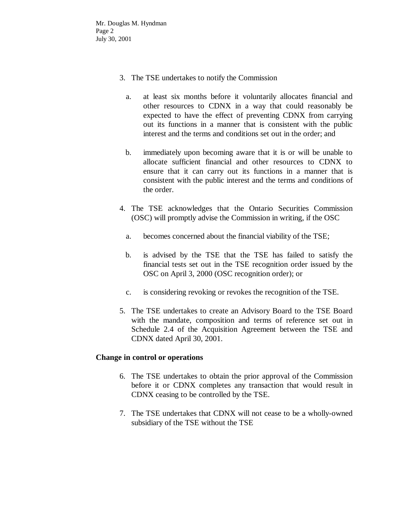Mr. Douglas M. Hyndman Page 2 July 30, 2001

- 3. The TSE undertakes to notify the Commission
	- a. at least six months before it voluntarily allocates financial and other resources to CDNX in a way that could reasonably be expected to have the effect of preventing CDNX from carrying out its functions in a manner that is consistent with the public interest and the terms and conditions set out in the order; and
	- b. immediately upon becoming aware that it is or will be unable to allocate sufficient financial and other resources to CDNX to ensure that it can carry out its functions in a manner that is consistent with the public interest and the terms and conditions of the order.
- 4. The TSE acknowledges that the Ontario Securities Commission (OSC) will promptly advise the Commission in writing, if the OSC
	- a. becomes concerned about the financial viability of the TSE;
	- b. is advised by the TSE that the TSE has failed to satisfy the financial tests set out in the TSE recognition order issued by the OSC on April 3, 2000 (OSC recognition order); or
	- c. is considering revoking or revokes the recognition of the TSE.
- 5. The TSE undertakes to create an Advisory Board to the TSE Board with the mandate, composition and terms of reference set out in Schedule 2.4 of the Acquisition Agreement between the TSE and CDNX dated April 30, 2001.

## **Change in control or operations**

- 6. The TSE undertakes to obtain the prior approval of the Commission before it or CDNX completes any transaction that would result in CDNX ceasing to be controlled by the TSE.
- 7. The TSE undertakes that CDNX will not cease to be a wholly-owned subsidiary of the TSE without the TSE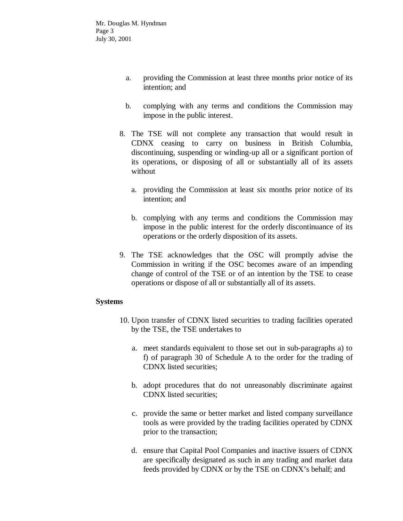- a. providing the Commission at least three months prior notice of its intention; and
- b. complying with any terms and conditions the Commission may impose in the public interest.
- 8. The TSE will not complete any transaction that would result in CDNX ceasing to carry on business in British Columbia, discontinuing, suspending or winding-up all or a significant portion of its operations, or disposing of all or substantially all of its assets without
	- a. providing the Commission at least six months prior notice of its intention; and
	- b. complying with any terms and conditions the Commission may impose in the public interest for the orderly discontinuance of its operations or the orderly disposition of its assets.
- 9. The TSE acknowledges that the OSC will promptly advise the Commission in writing if the OSC becomes aware of an impending change of control of the TSE or of an intention by the TSE to cease operations or dispose of all or substantially all of its assets.

## **Systems**

- 10. Upon transfer of CDNX listed securities to trading facilities operated by the TSE, the TSE undertakes to
	- a. meet standards equivalent to those set out in sub-paragraphs a) to f) of paragraph 30 of Schedule A to the order for the trading of CDNX listed securities;
	- b. adopt procedures that do not unreasonably discriminate against CDNX listed securities;
	- c. provide the same or better market and listed company surveillance tools as were provided by the trading facilities operated by CDNX prior to the transaction;
	- d. ensure that Capital Pool Companies and inactive issuers of CDNX are specifically designated as such in any trading and market data feeds provided by CDNX or by the TSE on CDNX's behalf; and